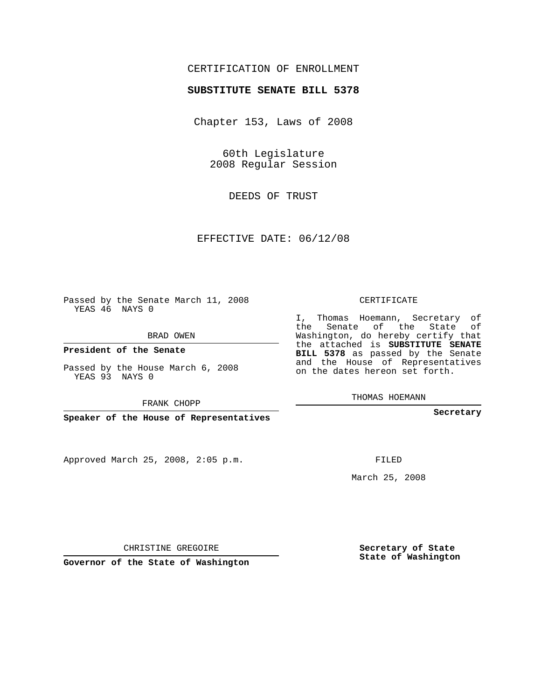# CERTIFICATION OF ENROLLMENT

#### **SUBSTITUTE SENATE BILL 5378**

Chapter 153, Laws of 2008

60th Legislature 2008 Regular Session

DEEDS OF TRUST

EFFECTIVE DATE: 06/12/08

Passed by the Senate March 11, 2008 YEAS 46 NAYS 0

BRAD OWEN

**President of the Senate**

Passed by the House March 6, 2008 YEAS 93 NAYS 0

FRANK CHOPP

**Speaker of the House of Representatives**

Approved March 25, 2008, 2:05 p.m.

CERTIFICATE

I, Thomas Hoemann, Secretary of the Senate of the State of Washington, do hereby certify that the attached is **SUBSTITUTE SENATE BILL 5378** as passed by the Senate and the House of Representatives on the dates hereon set forth.

THOMAS HOEMANN

**Secretary**

FILED

March 25, 2008

**Secretary of State State of Washington**

CHRISTINE GREGOIRE

**Governor of the State of Washington**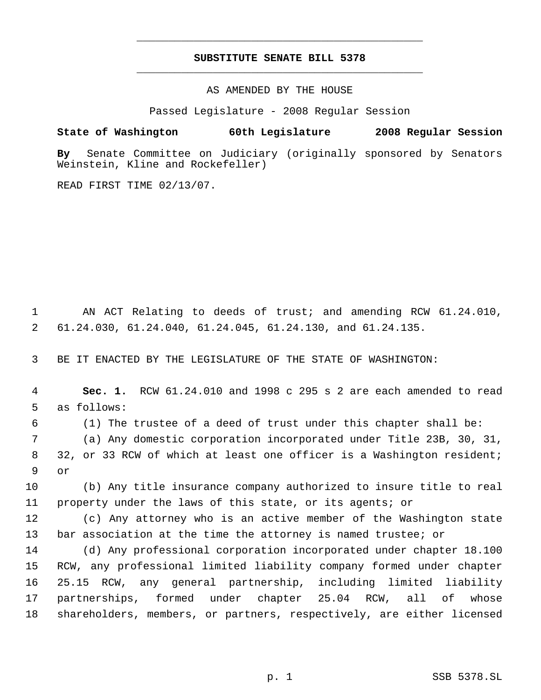# **SUBSTITUTE SENATE BILL 5378** \_\_\_\_\_\_\_\_\_\_\_\_\_\_\_\_\_\_\_\_\_\_\_\_\_\_\_\_\_\_\_\_\_\_\_\_\_\_\_\_\_\_\_\_\_

\_\_\_\_\_\_\_\_\_\_\_\_\_\_\_\_\_\_\_\_\_\_\_\_\_\_\_\_\_\_\_\_\_\_\_\_\_\_\_\_\_\_\_\_\_

AS AMENDED BY THE HOUSE

Passed Legislature - 2008 Regular Session

#### **State of Washington 60th Legislature 2008 Regular Session**

**By** Senate Committee on Judiciary (originally sponsored by Senators Weinstein, Kline and Rockefeller)

READ FIRST TIME 02/13/07.

 AN ACT Relating to deeds of trust; and amending RCW 61.24.010, 61.24.030, 61.24.040, 61.24.045, 61.24.130, and 61.24.135.

BE IT ENACTED BY THE LEGISLATURE OF THE STATE OF WASHINGTON:

 **Sec. 1.** RCW 61.24.010 and 1998 c 295 s 2 are each amended to read as follows:

(1) The trustee of a deed of trust under this chapter shall be:

 (a) Any domestic corporation incorporated under Title 23B, 30, 31, 32, or 33 RCW of which at least one officer is a Washington resident; or

 (b) Any title insurance company authorized to insure title to real property under the laws of this state, or its agents; or

 (c) Any attorney who is an active member of the Washington state bar association at the time the attorney is named trustee; or

 (d) Any professional corporation incorporated under chapter 18.100 RCW, any professional limited liability company formed under chapter 25.15 RCW, any general partnership, including limited liability partnerships, formed under chapter 25.04 RCW, all of whose shareholders, members, or partners, respectively, are either licensed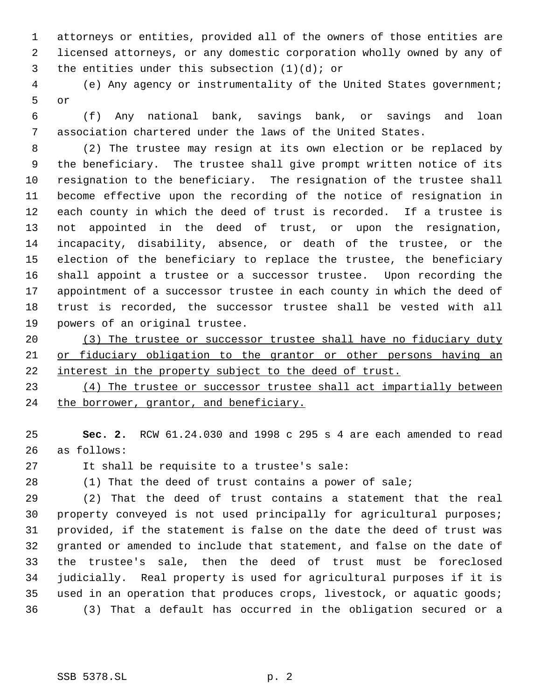attorneys or entities, provided all of the owners of those entities are licensed attorneys, or any domestic corporation wholly owned by any of 3 the entities under this subsection  $(1)(d)$ ; or

 (e) Any agency or instrumentality of the United States government; or

 (f) Any national bank, savings bank, or savings and loan association chartered under the laws of the United States.

 (2) The trustee may resign at its own election or be replaced by the beneficiary. The trustee shall give prompt written notice of its resignation to the beneficiary. The resignation of the trustee shall become effective upon the recording of the notice of resignation in each county in which the deed of trust is recorded. If a trustee is not appointed in the deed of trust, or upon the resignation, incapacity, disability, absence, or death of the trustee, or the election of the beneficiary to replace the trustee, the beneficiary shall appoint a trustee or a successor trustee. Upon recording the appointment of a successor trustee in each county in which the deed of trust is recorded, the successor trustee shall be vested with all powers of an original trustee.

20 (3) The trustee or successor trustee shall have no fiduciary duty or fiduciary obligation to the grantor or other persons having an 22 interest in the property subject to the deed of trust.

 (4) The trustee or successor trustee shall act impartially between 24 the borrower, grantor, and beneficiary.

 **Sec. 2.** RCW 61.24.030 and 1998 c 295 s 4 are each amended to read as follows:

It shall be requisite to a trustee's sale:

(1) That the deed of trust contains a power of sale;

 (2) That the deed of trust contains a statement that the real property conveyed is not used principally for agricultural purposes; provided, if the statement is false on the date the deed of trust was granted or amended to include that statement, and false on the date of the trustee's sale, then the deed of trust must be foreclosed judicially. Real property is used for agricultural purposes if it is used in an operation that produces crops, livestock, or aquatic goods; (3) That a default has occurred in the obligation secured or a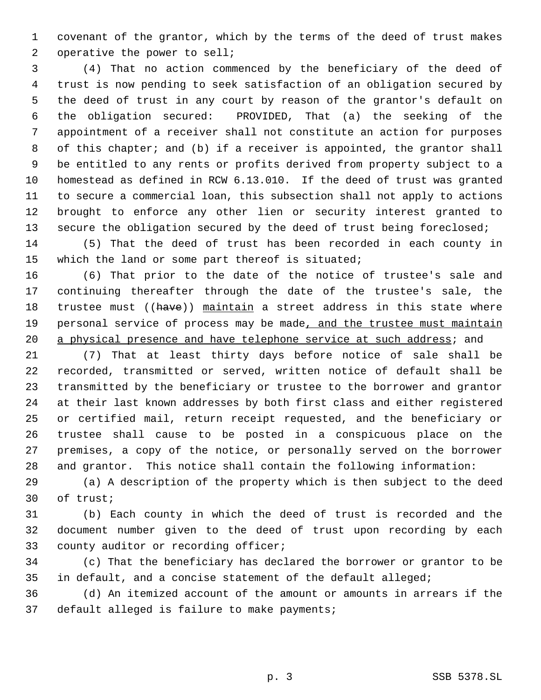covenant of the grantor, which by the terms of the deed of trust makes 2 operative the power to sell;

 (4) That no action commenced by the beneficiary of the deed of trust is now pending to seek satisfaction of an obligation secured by the deed of trust in any court by reason of the grantor's default on the obligation secured: PROVIDED, That (a) the seeking of the appointment of a receiver shall not constitute an action for purposes of this chapter; and (b) if a receiver is appointed, the grantor shall be entitled to any rents or profits derived from property subject to a homestead as defined in RCW 6.13.010. If the deed of trust was granted to secure a commercial loan, this subsection shall not apply to actions brought to enforce any other lien or security interest granted to 13 secure the obligation secured by the deed of trust being foreclosed;

 (5) That the deed of trust has been recorded in each county in which the land or some part thereof is situated;

 (6) That prior to the date of the notice of trustee's sale and continuing thereafter through the date of the trustee's sale, the 18 trustee must ((have)) maintain a street address in this state where 19 personal service of process may be made, and the trustee must maintain 20 a physical presence and have telephone service at such address; and

 (7) That at least thirty days before notice of sale shall be recorded, transmitted or served, written notice of default shall be transmitted by the beneficiary or trustee to the borrower and grantor at their last known addresses by both first class and either registered or certified mail, return receipt requested, and the beneficiary or trustee shall cause to be posted in a conspicuous place on the premises, a copy of the notice, or personally served on the borrower and grantor. This notice shall contain the following information:

 (a) A description of the property which is then subject to the deed of trust;

 (b) Each county in which the deed of trust is recorded and the document number given to the deed of trust upon recording by each county auditor or recording officer;

 (c) That the beneficiary has declared the borrower or grantor to be in default, and a concise statement of the default alleged;

 (d) An itemized account of the amount or amounts in arrears if the default alleged is failure to make payments;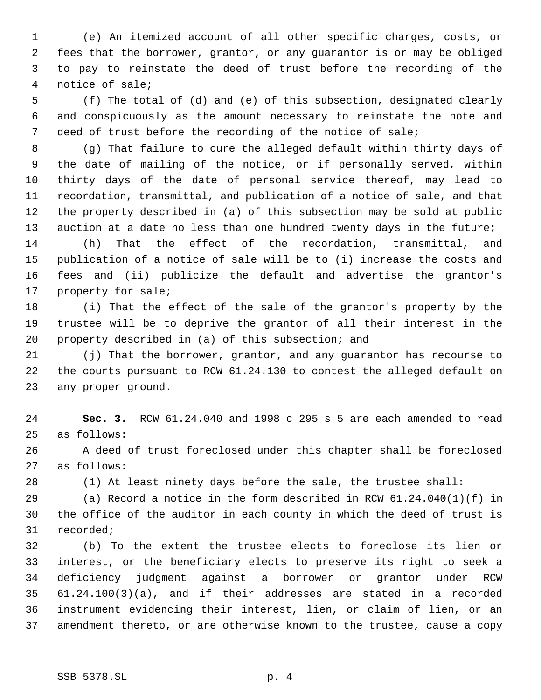(e) An itemized account of all other specific charges, costs, or fees that the borrower, grantor, or any guarantor is or may be obliged to pay to reinstate the deed of trust before the recording of the notice of sale;

 (f) The total of (d) and (e) of this subsection, designated clearly and conspicuously as the amount necessary to reinstate the note and deed of trust before the recording of the notice of sale;

 (g) That failure to cure the alleged default within thirty days of the date of mailing of the notice, or if personally served, within thirty days of the date of personal service thereof, may lead to recordation, transmittal, and publication of a notice of sale, and that the property described in (a) of this subsection may be sold at public 13 auction at a date no less than one hundred twenty days in the future;

 (h) That the effect of the recordation, transmittal, and publication of a notice of sale will be to (i) increase the costs and fees and (ii) publicize the default and advertise the grantor's property for sale;

 (i) That the effect of the sale of the grantor's property by the trustee will be to deprive the grantor of all their interest in the property described in (a) of this subsection; and

 (j) That the borrower, grantor, and any guarantor has recourse to the courts pursuant to RCW 61.24.130 to contest the alleged default on any proper ground.

 **Sec. 3.** RCW 61.24.040 and 1998 c 295 s 5 are each amended to read as follows:

 A deed of trust foreclosed under this chapter shall be foreclosed as follows:

(1) At least ninety days before the sale, the trustee shall:

 (a) Record a notice in the form described in RCW 61.24.040(1)(f) in the office of the auditor in each county in which the deed of trust is recorded;

 (b) To the extent the trustee elects to foreclose its lien or interest, or the beneficiary elects to preserve its right to seek a deficiency judgment against a borrower or grantor under RCW 61.24.100(3)(a), and if their addresses are stated in a recorded instrument evidencing their interest, lien, or claim of lien, or an amendment thereto, or are otherwise known to the trustee, cause a copy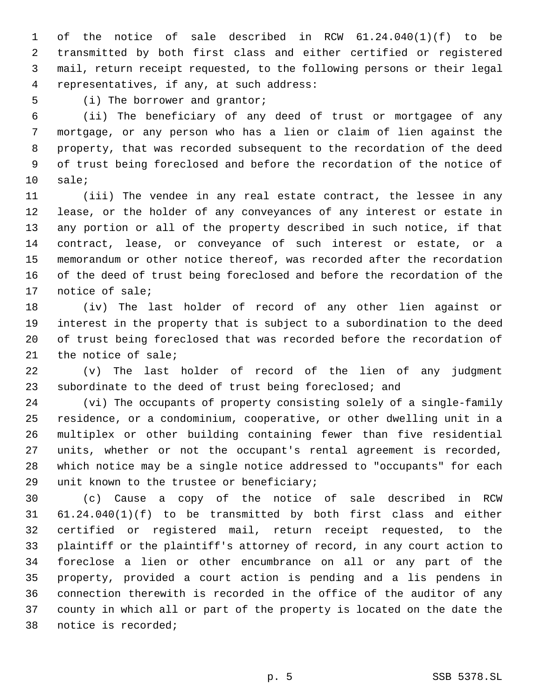of the notice of sale described in RCW 61.24.040(1)(f) to be transmitted by both first class and either certified or registered mail, return receipt requested, to the following persons or their legal representatives, if any, at such address:

(i) The borrower and grantor;

 (ii) The beneficiary of any deed of trust or mortgagee of any mortgage, or any person who has a lien or claim of lien against the property, that was recorded subsequent to the recordation of the deed of trust being foreclosed and before the recordation of the notice of sale;

 (iii) The vendee in any real estate contract, the lessee in any lease, or the holder of any conveyances of any interest or estate in any portion or all of the property described in such notice, if that contract, lease, or conveyance of such interest or estate, or a memorandum or other notice thereof, was recorded after the recordation of the deed of trust being foreclosed and before the recordation of the notice of sale;

 (iv) The last holder of record of any other lien against or interest in the property that is subject to a subordination to the deed of trust being foreclosed that was recorded before the recordation of the notice of sale;

 (v) The last holder of record of the lien of any judgment subordinate to the deed of trust being foreclosed; and

 (vi) The occupants of property consisting solely of a single-family residence, or a condominium, cooperative, or other dwelling unit in a multiplex or other building containing fewer than five residential units, whether or not the occupant's rental agreement is recorded, which notice may be a single notice addressed to "occupants" for each unit known to the trustee or beneficiary;

 (c) Cause a copy of the notice of sale described in RCW 61.24.040(1)(f) to be transmitted by both first class and either certified or registered mail, return receipt requested, to the plaintiff or the plaintiff's attorney of record, in any court action to foreclose a lien or other encumbrance on all or any part of the property, provided a court action is pending and a lis pendens in connection therewith is recorded in the office of the auditor of any county in which all or part of the property is located on the date the notice is recorded;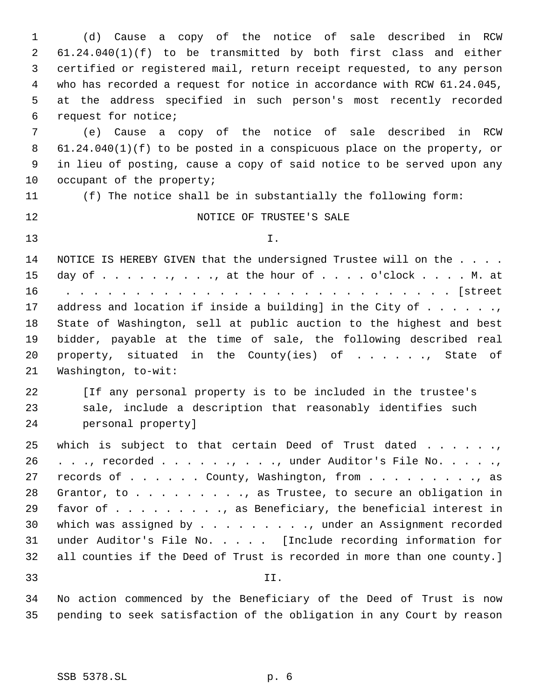(d) Cause a copy of the notice of sale described in RCW 61.24.040(1)(f) to be transmitted by both first class and either certified or registered mail, return receipt requested, to any person who has recorded a request for notice in accordance with RCW 61.24.045, at the address specified in such person's most recently recorded request for notice;

 (e) Cause a copy of the notice of sale described in RCW 61.24.040(1)(f) to be posted in a conspicuous place on the property, or in lieu of posting, cause a copy of said notice to be served upon any 10 occupant of the property;

(f) The notice shall be in substantially the following form:

## 12 NOTICE OF TRUSTEE'S SALE

I.

14 NOTICE IS HEREBY GIVEN that the undersigned Trustee will on the . . . . day of . . . . . ., . . ., at the hour of . . . . o'clock . . . . M. at . . . . . . . . . . . . . . . . . . . . . . . . . . . . [street 17 address and location if inside a building] in the City of  $\dots$ ... State of Washington, sell at public auction to the highest and best bidder, payable at the time of sale, the following described real 20 property, situated in the County(ies) of . . . . ., State of Washington, to-wit:

 [If any personal property is to be included in the trustee's sale, include a description that reasonably identifies such personal property]

25 which is subject to that certain Deed of Trust dated . . . . . ., 26 . . ., recorded . . . . . ., . . ., under Auditor's File No. . . . ., 27 records of . . . . . County, Washington, from . . . . . . . . . , as Grantor, to . . . . . . . . ., as Trustee, to secure an obligation in favor of . . . . . . . . ., as Beneficiary, the beneficial interest in 30 which was assigned by . . . . . . . . . , under an Assignment recorded under Auditor's File No. . . . . [Include recording information for all counties if the Deed of Trust is recorded in more than one county.]

II.

 No action commenced by the Beneficiary of the Deed of Trust is now pending to seek satisfaction of the obligation in any Court by reason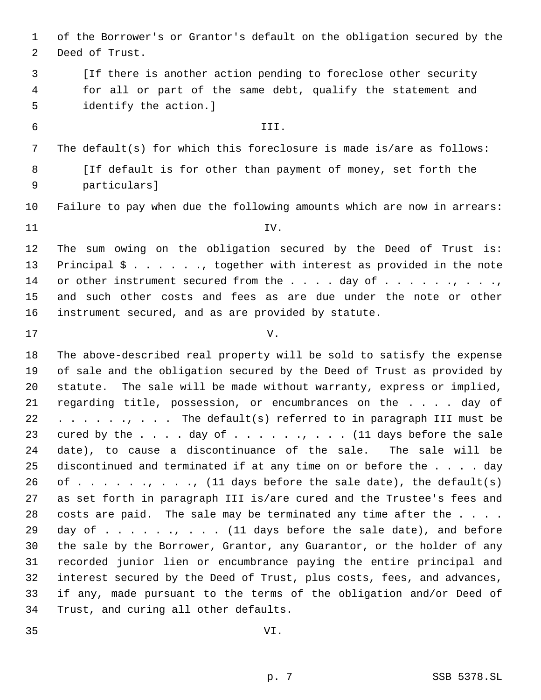of the Borrower's or Grantor's default on the obligation secured by the Deed of Trust.

 [If there is another action pending to foreclose other security for all or part of the same debt, qualify the statement and identify the action.]

 III. The default(s) for which this foreclosure is made is/are as follows: 8 [If default is for other than payment of money, set forth the particulars]

Failure to pay when due the following amounts which are now in arrears:

IV.

 The sum owing on the obligation secured by the Deed of Trust is: Principal \$ . . . . . ., together with interest as provided in the note 14 or other instrument secured from the . . . . day of . . . . . . . . . . . . . and such other costs and fees as are due under the note or other instrument secured, and as are provided by statute.

V.

 The above-described real property will be sold to satisfy the expense of sale and the obligation secured by the Deed of Trust as provided by statute. The sale will be made without warranty, express or implied, regarding title, possession, or encumbrances on the . . . . day of 22 . . . . . . . . The default(s) referred to in paragraph III must be 23 cured by the . . . . day of . . . . . . . . . . (11 days before the sale date), to cause a discontinuance of the sale. The sale will be discontinued and terminated if at any time on or before the . . . . day 26 of  $\dots$   $\dots$ ,  $\dots$ ,  $\ldots$ , (11 days before the sale date), the default(s) as set forth in paragraph III is/are cured and the Trustee's fees and 28 costs are paid. The sale may be terminated any time after the . . . . 29 day of . . . . . . . . . (11 days before the sale date), and before the sale by the Borrower, Grantor, any Guarantor, or the holder of any recorded junior lien or encumbrance paying the entire principal and interest secured by the Deed of Trust, plus costs, fees, and advances, if any, made pursuant to the terms of the obligation and/or Deed of Trust, and curing all other defaults.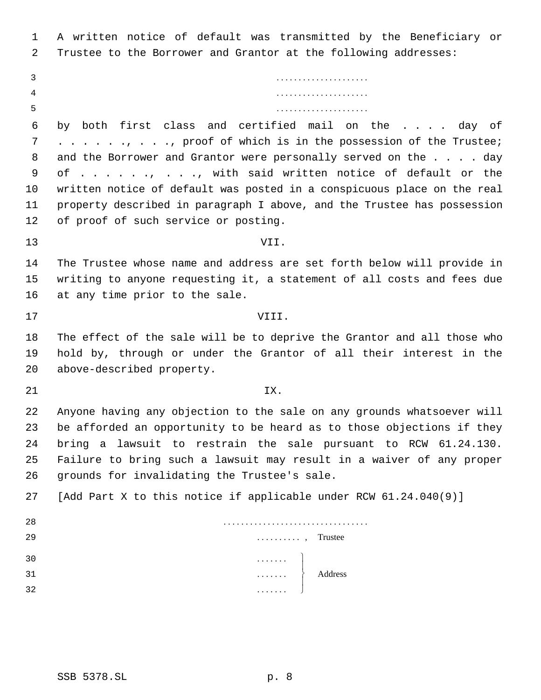A written notice of default was transmitted by the Beneficiary or Trustee to the Borrower and Grantor at the following addresses:

 by both first class and certified mail on the . . . . day of 7 . . . . . . . . . . . proof of which is in the possession of the Trustee; 8 and the Borrower and Grantor were personally served on the . . . . day of . . . . . ., . . ., with said written notice of default or the written notice of default was posted in a conspicuous place on the real property described in paragraph I above, and the Trustee has possession of proof of such service or posting.

- VII. The Trustee whose name and address are set forth below will provide in writing to anyone requesting it, a statement of all costs and fees due
- at any time prior to the sale. VIII.
- The effect of the sale will be to deprive the Grantor and all those who hold by, through or under the Grantor of all their interest in the above-described property.
- 
- **IX.**

 Anyone having any objection to the sale on any grounds whatsoever will be afforded an opportunity to be heard as to those objections if they bring a lawsuit to restrain the sale pursuant to RCW 61.24.130. Failure to bring such a lawsuit may result in a waiver of any proper grounds for invalidating the Trustee's sale.

|  |  |  |  |  |  |  |  | 27 [Add Part X to this notice if applicable under RCW 61.24.040(9)] |  |  |  |  |  |
|--|--|--|--|--|--|--|--|---------------------------------------------------------------------|--|--|--|--|--|
|--|--|--|--|--|--|--|--|---------------------------------------------------------------------|--|--|--|--|--|

| -28  |                                                                                            |
|------|--------------------------------------------------------------------------------------------|
| - 29 | $\ldots$ , Trustee                                                                         |
| 30   | . 1                                                                                        |
| - 31 | $\begin{matrix} \cdots & \cdots & \cdots \\ \cdots & \cdots & \cdots \end{matrix}$ Address |
| 32   | .                                                                                          |
|      |                                                                                            |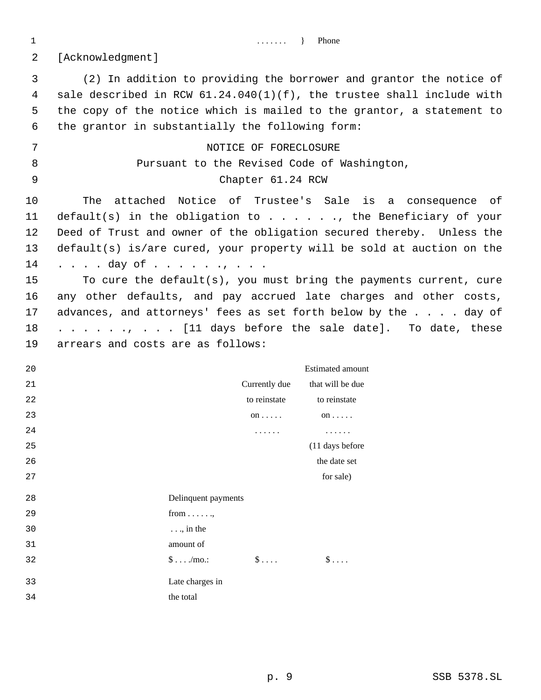1 ........ } Phone

[Acknowledgment]

 (2) In addition to providing the borrower and grantor the notice of sale described in RCW 61.24.040(1)(f), the trustee shall include with the copy of the notice which is mailed to the grantor, a statement to the grantor in substantially the following form: 7 NOTICE OF FORECLOSURE

# Pursuant to the Revised Code of Washington, Chapter 61.24 RCW

 The attached Notice of Trustee's Sale is a consequence of default(s) in the obligation to . . . . . ., the Beneficiary of your Deed of Trust and owner of the obligation secured thereby. Unless the default(s) is/are cured, your property will be sold at auction on the 14 . . . . day of . . . . . . , . . .

 To cure the default(s), you must bring the payments current, cure any other defaults, and pay accrued late charges and other costs, 17 advances, and attorneys' fees as set forth below by the . . . . day of 18 . . . . . ., . . . [11 days before the sale date]. To date, these arrears and costs are as follows:

| 20 |                             |               | <b>Estimated amount</b> |
|----|-----------------------------|---------------|-------------------------|
| 21 |                             | Currently due | that will be due        |
| 22 |                             | to reinstate  | to reinstate            |
| 23 |                             | on $\ldots$ . | $on \ldots$ .           |
| 24 |                             | .             | .                       |
| 25 |                             |               | (11 days before         |
| 26 |                             |               | the date set            |
| 27 |                             |               | for sale)               |
| 28 | Delinquent payments         |               |                         |
| 29 | from $\dots$                |               |                         |
| 30 | $\ldots$ , in the           |               |                         |
| 31 | amount of                   |               |                         |
| 32 | $\text{\$}\ldots\text{\,.}$ | $\S \ldots$   | $\S \ldots$             |
| 33 | Late charges in             |               |                         |
|    |                             |               |                         |
| 34 | the total                   |               |                         |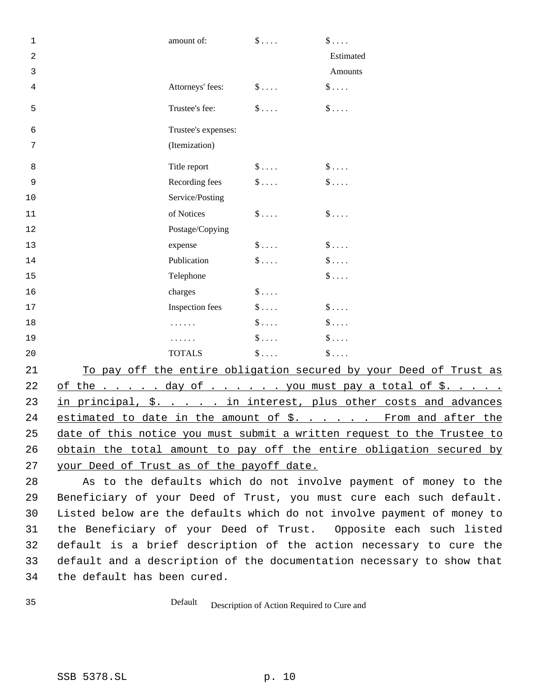| $\mathbf 1$    | amount of:                                    | $\S$         | $\S \ldots$  |
|----------------|-----------------------------------------------|--------------|--------------|
| $\overline{a}$ |                                               |              | Estimated    |
| 3              |                                               |              | Amounts      |
| $\overline{4}$ | Attorneys' fees:                              | $\$\ldots$ . | $\$\ldots$ . |
| 5              | Trustee's fee:                                | $\$\ldots$ . | $\$\ldots$   |
| 6              | Trustee's expenses:                           |              |              |
| 7              | (Itemization)                                 |              |              |
| 8              | Title report                                  | $\$\ldots$   | $\$\ldots$   |
| 9              | Recording fees                                | $\$\ldots$   | $\S$         |
| 10             | Service/Posting                               |              |              |
| 11             | of Notices                                    | $\$\ldots$   | $\S \dots$   |
| 12             | Postage/Copying                               |              |              |
| 13             | expense                                       | $\$\ldots$   | $\$\ldots$   |
| 14             | Publication                                   | $\$ \ldots . | $\$\ldots$ . |
| 15             | Telephone                                     |              | $\S \dots$   |
| 16             | charges                                       | $\$\ldots$   |              |
| 17             | Inspection fees                               | $\$\ldots$   | $\S \dots$   |
| 18             |                                               | $\S$         | $\S \dots$   |
| 19             |                                               | $\$\ldots$ . | $\$\ldots$ . |
| 20             | <b>TOTALS</b>                                 | $\$\ldots$   | $\$\ldots$ . |
| 21             | To pay off the ontire obligation gequred by y |              |              |

21 To pay off the entire obligation secured by your Deed of Trust as 22 of the  $\ldots$  . . . day of  $\ldots$  . . . . you must pay a total of \$.. 23 in principal, \$. . . . . in interest, plus other costs and advances 24 estimated to date in the amount of \$. . . . . . From and after the date of this notice you must submit a written request to the Trustee to 26 obtain the total amount to pay off the entire obligation secured by your Deed of Trust as of the payoff date.

 As to the defaults which do not involve payment of money to the Beneficiary of your Deed of Trust, you must cure each such default. Listed below are the defaults which do not involve payment of money to the Beneficiary of your Deed of Trust. Opposite each such listed default is a brief description of the action necessary to cure the default and a description of the documentation necessary to show that the default has been cured.

Default Description of Action Required to Cure and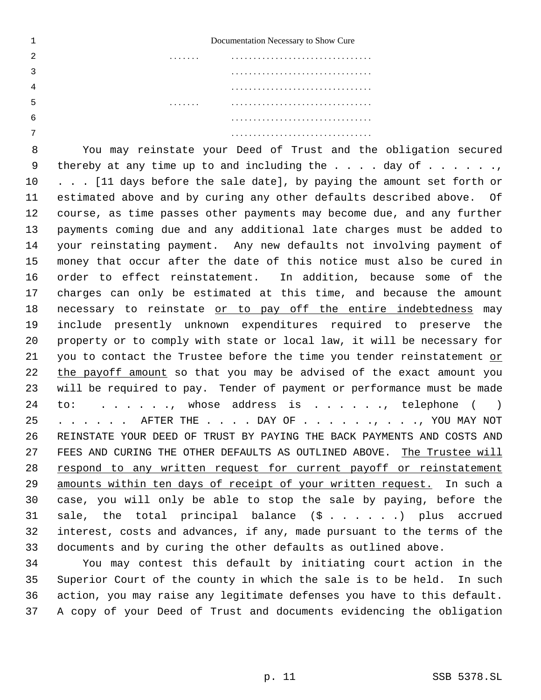|   |   | Documentation Necessary to Show Cure |
|---|---|--------------------------------------|
|   | . |                                      |
|   |   |                                      |
|   |   |                                      |
|   | . |                                      |
| 6 |   |                                      |
|   |   |                                      |

 You may reinstate your Deed of Trust and the obligation secured 9 thereby at any time up to and including the  $\ldots$  . day of  $\ldots$  ... 10 . . . [11 days before the sale date], by paying the amount set forth or estimated above and by curing any other defaults described above. Of course, as time passes other payments may become due, and any further payments coming due and any additional late charges must be added to your reinstating payment. Any new defaults not involving payment of money that occur after the date of this notice must also be cured in order to effect reinstatement. In addition, because some of the charges can only be estimated at this time, and because the amount necessary to reinstate or to pay off the entire indebtedness may include presently unknown expenditures required to preserve the property or to comply with state or local law, it will be necessary for you to contact the Trustee before the time you tender reinstatement or the payoff amount so that you may be advised of the exact amount you will be required to pay. Tender of payment or performance must be made 24 to: . . . . ., whose address is . . . . . ., telephone ( ) 25 . . . . . AFTER THE . . . . DAY OF . . . . . . , . . . , YOU MAY NOT REINSTATE YOUR DEED OF TRUST BY PAYING THE BACK PAYMENTS AND COSTS AND 27 FEES AND CURING THE OTHER DEFAULTS AS OUTLINED ABOVE. The Trustee will respond to any written request for current payoff or reinstatement amounts within ten days of receipt of your written request. In such a case, you will only be able to stop the sale by paying, before the sale, the total principal balance (\$ . . . . . .) plus accrued interest, costs and advances, if any, made pursuant to the terms of the documents and by curing the other defaults as outlined above.

 You may contest this default by initiating court action in the Superior Court of the county in which the sale is to be held. In such action, you may raise any legitimate defenses you have to this default. A copy of your Deed of Trust and documents evidencing the obligation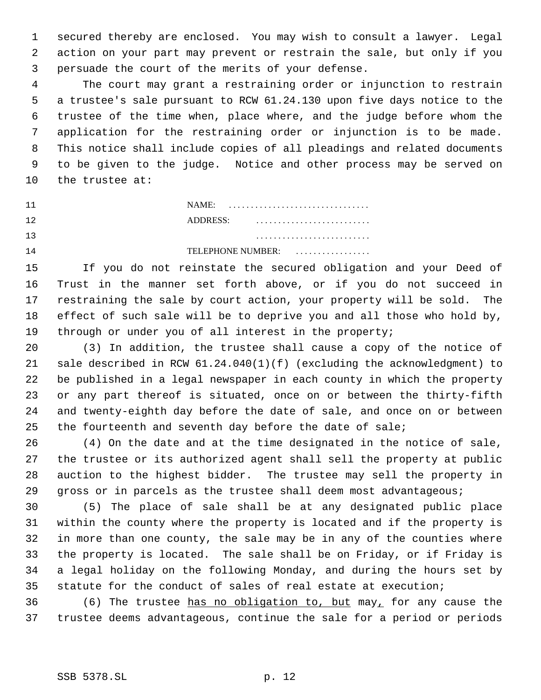secured thereby are enclosed. You may wish to consult a lawyer. Legal action on your part may prevent or restrain the sale, but only if you persuade the court of the merits of your defense.

 The court may grant a restraining order or injunction to restrain a trustee's sale pursuant to RCW 61.24.130 upon five days notice to the trustee of the time when, place where, and the judge before whom the application for the restraining order or injunction is to be made. This notice shall include copies of all pleadings and related documents to be given to the judge. Notice and other process may be served on the trustee at:

 NAME: . . . . . . . . . . . . . . . . . . . . . . . . . . . . . . . . ADDRESS: . . . . . . . . . . . . . . . . . . . . . . . . . . . . . . . . . . . . . . . . . . . . . . . . . . . .

TELEPHONE NUMBER: . . . . . . . . . . . . . . . . .

 If you do not reinstate the secured obligation and your Deed of Trust in the manner set forth above, or if you do not succeed in restraining the sale by court action, your property will be sold. The effect of such sale will be to deprive you and all those who hold by, through or under you of all interest in the property;

 (3) In addition, the trustee shall cause a copy of the notice of sale described in RCW 61.24.040(1)(f) (excluding the acknowledgment) to be published in a legal newspaper in each county in which the property or any part thereof is situated, once on or between the thirty-fifth and twenty-eighth day before the date of sale, and once on or between 25 the fourteenth and seventh day before the date of sale;

 (4) On the date and at the time designated in the notice of sale, the trustee or its authorized agent shall sell the property at public auction to the highest bidder. The trustee may sell the property in gross or in parcels as the trustee shall deem most advantageous;

 (5) The place of sale shall be at any designated public place within the county where the property is located and if the property is in more than one county, the sale may be in any of the counties where the property is located. The sale shall be on Friday, or if Friday is a legal holiday on the following Monday, and during the hours set by statute for the conduct of sales of real estate at execution;

36 (6) The trustee has no obligation to, but may, for any cause the trustee deems advantageous, continue the sale for a period or periods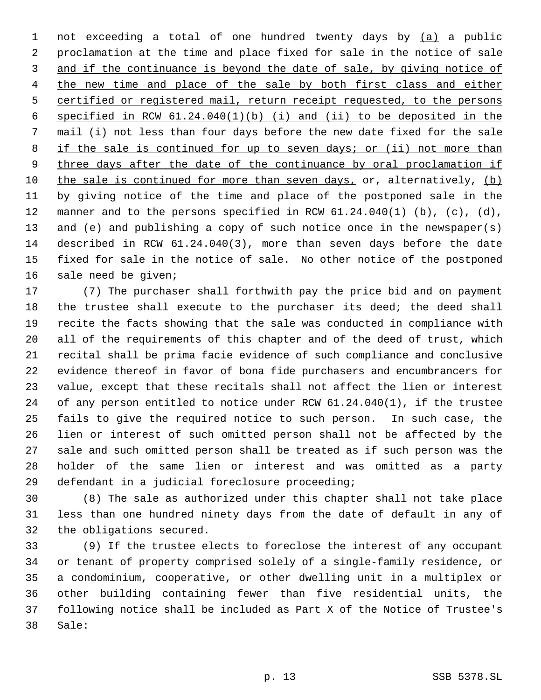not exceeding a total of one hundred twenty days by (a) a public proclamation at the time and place fixed for sale in the notice of sale and if the continuance is beyond the date of sale, by giving notice of the new time and place of the sale by both first class and either certified or registered mail, return receipt requested, to the persons specified in RCW 61.24.040(1)(b) (i) and (ii) to be deposited in the mail (i) not less than four days before the new date fixed for the sale 8 if the sale is continued for up to seven days; or (ii) not more than 9 three days after the date of the continuance by oral proclamation if the sale is continued for more than seven days, or, alternatively, (b) by giving notice of the time and place of the postponed sale in the manner and to the persons specified in RCW 61.24.040(1) (b), (c), (d), and (e) and publishing a copy of such notice once in the newspaper(s) described in RCW 61.24.040(3), more than seven days before the date fixed for sale in the notice of sale. No other notice of the postponed sale need be given;

 (7) The purchaser shall forthwith pay the price bid and on payment the trustee shall execute to the purchaser its deed; the deed shall recite the facts showing that the sale was conducted in compliance with all of the requirements of this chapter and of the deed of trust, which recital shall be prima facie evidence of such compliance and conclusive evidence thereof in favor of bona fide purchasers and encumbrancers for value, except that these recitals shall not affect the lien or interest of any person entitled to notice under RCW 61.24.040(1), if the trustee fails to give the required notice to such person. In such case, the lien or interest of such omitted person shall not be affected by the sale and such omitted person shall be treated as if such person was the holder of the same lien or interest and was omitted as a party defendant in a judicial foreclosure proceeding;

 (8) The sale as authorized under this chapter shall not take place less than one hundred ninety days from the date of default in any of the obligations secured.

 (9) If the trustee elects to foreclose the interest of any occupant or tenant of property comprised solely of a single-family residence, or a condominium, cooperative, or other dwelling unit in a multiplex or other building containing fewer than five residential units, the following notice shall be included as Part X of the Notice of Trustee's Sale: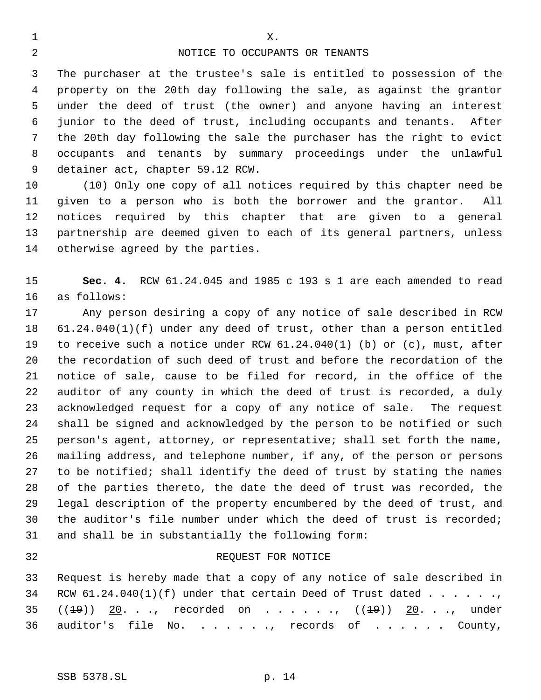### NOTICE TO OCCUPANTS OR TENANTS

1 X.

 The purchaser at the trustee's sale is entitled to possession of the property on the 20th day following the sale, as against the grantor under the deed of trust (the owner) and anyone having an interest junior to the deed of trust, including occupants and tenants. After the 20th day following the sale the purchaser has the right to evict occupants and tenants by summary proceedings under the unlawful detainer act, chapter 59.12 RCW.

 (10) Only one copy of all notices required by this chapter need be given to a person who is both the borrower and the grantor. All notices required by this chapter that are given to a general partnership are deemed given to each of its general partners, unless otherwise agreed by the parties.

 **Sec. 4.** RCW 61.24.045 and 1985 c 193 s 1 are each amended to read as follows:

 Any person desiring a copy of any notice of sale described in RCW 61.24.040(1)(f) under any deed of trust, other than a person entitled to receive such a notice under RCW 61.24.040(1) (b) or (c), must, after the recordation of such deed of trust and before the recordation of the notice of sale, cause to be filed for record, in the office of the auditor of any county in which the deed of trust is recorded, a duly acknowledged request for a copy of any notice of sale. The request shall be signed and acknowledged by the person to be notified or such person's agent, attorney, or representative; shall set forth the name, mailing address, and telephone number, if any, of the person or persons to be notified; shall identify the deed of trust by stating the names of the parties thereto, the date the deed of trust was recorded, the legal description of the property encumbered by the deed of trust, and the auditor's file number under which the deed of trust is recorded; and shall be in substantially the following form:

### REQUEST FOR NOTICE

 Request is hereby made that a copy of any notice of sale described in 34 RCW  $61.24.040(1)(f)$  under that certain Deed of Trust dated  $\dots \dots$  $((1-9))$  20. . ., recorded on . . . . .,  $((1-9))$  20. . ., under auditor's file No. . . . . . ., records of . . . . . . County,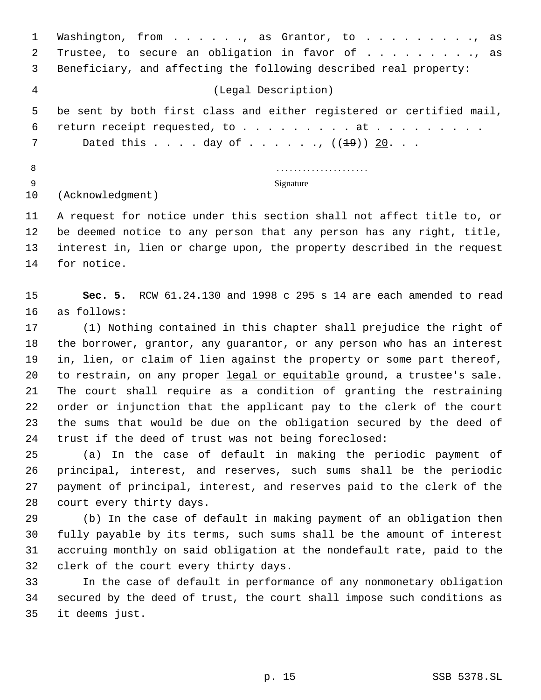1 Washington, from . . . . . , as Grantor, to . . . . . . . . . , as 2 Trustee, to secure an obligation in favor of . . . . . . . . . as Beneficiary, and affecting the following described real property: (Legal Description) be sent by both first class and either registered or certified mail, 6 return receipt requested, to . . . . . . . . at . . . . . . . . . 7 Dated this . . . . day of . . . . . , ((<del>19</del>)) 20. . . . . . . . . . . . . . . . . . . . . . . .

Signature

(Acknowledgment)

 A request for notice under this section shall not affect title to, or be deemed notice to any person that any person has any right, title, interest in, lien or charge upon, the property described in the request for notice.

 **Sec. 5.** RCW 61.24.130 and 1998 c 295 s 14 are each amended to read as follows:

 (1) Nothing contained in this chapter shall prejudice the right of the borrower, grantor, any guarantor, or any person who has an interest in, lien, or claim of lien against the property or some part thereof, to restrain, on any proper legal or equitable ground, a trustee's sale. The court shall require as a condition of granting the restraining order or injunction that the applicant pay to the clerk of the court the sums that would be due on the obligation secured by the deed of trust if the deed of trust was not being foreclosed:

 (a) In the case of default in making the periodic payment of principal, interest, and reserves, such sums shall be the periodic payment of principal, interest, and reserves paid to the clerk of the court every thirty days.

 (b) In the case of default in making payment of an obligation then fully payable by its terms, such sums shall be the amount of interest accruing monthly on said obligation at the nondefault rate, paid to the clerk of the court every thirty days.

 In the case of default in performance of any nonmonetary obligation secured by the deed of trust, the court shall impose such conditions as it deems just.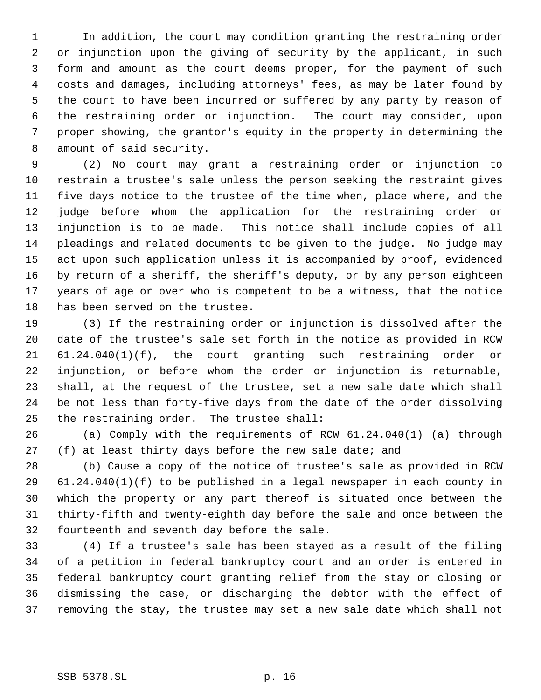In addition, the court may condition granting the restraining order or injunction upon the giving of security by the applicant, in such form and amount as the court deems proper, for the payment of such costs and damages, including attorneys' fees, as may be later found by the court to have been incurred or suffered by any party by reason of the restraining order or injunction. The court may consider, upon proper showing, the grantor's equity in the property in determining the amount of said security.

 (2) No court may grant a restraining order or injunction to restrain a trustee's sale unless the person seeking the restraint gives five days notice to the trustee of the time when, place where, and the judge before whom the application for the restraining order or injunction is to be made. This notice shall include copies of all pleadings and related documents to be given to the judge. No judge may act upon such application unless it is accompanied by proof, evidenced by return of a sheriff, the sheriff's deputy, or by any person eighteen years of age or over who is competent to be a witness, that the notice has been served on the trustee.

 (3) If the restraining order or injunction is dissolved after the date of the trustee's sale set forth in the notice as provided in RCW 61.24.040(1)(f), the court granting such restraining order or injunction, or before whom the order or injunction is returnable, shall, at the request of the trustee, set a new sale date which shall be not less than forty-five days from the date of the order dissolving the restraining order. The trustee shall:

 (a) Comply with the requirements of RCW 61.24.040(1) (a) through (f) at least thirty days before the new sale date; and

 (b) Cause a copy of the notice of trustee's sale as provided in RCW 61.24.040(1)(f) to be published in a legal newspaper in each county in which the property or any part thereof is situated once between the thirty-fifth and twenty-eighth day before the sale and once between the fourteenth and seventh day before the sale.

 (4) If a trustee's sale has been stayed as a result of the filing of a petition in federal bankruptcy court and an order is entered in federal bankruptcy court granting relief from the stay or closing or dismissing the case, or discharging the debtor with the effect of removing the stay, the trustee may set a new sale date which shall not